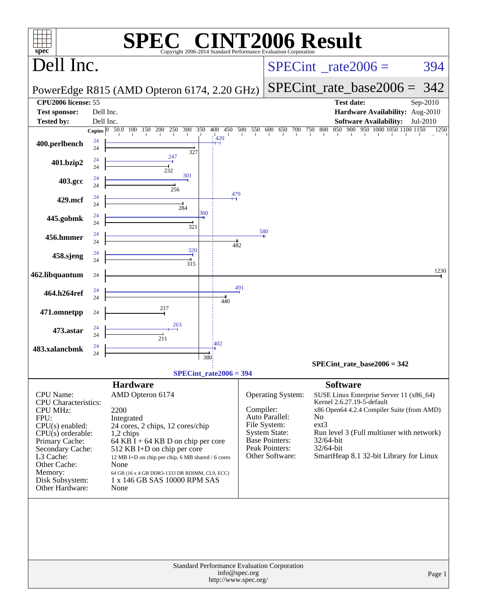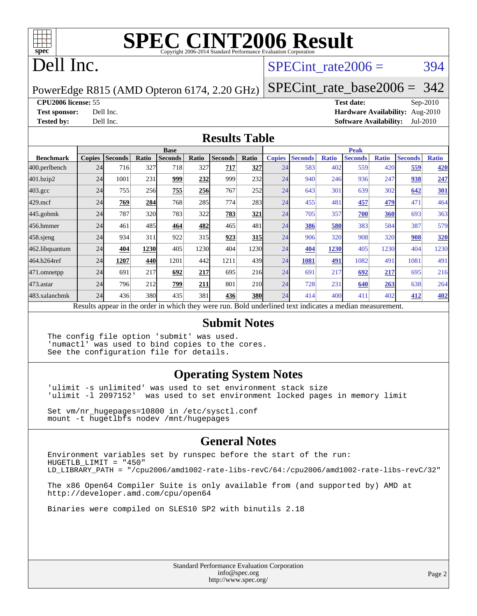

# **[SPEC CINT2006 Result](http://www.spec.org/auto/cpu2006/Docs/result-fields.html#SPECCINT2006Result)**

## Dell Inc.

### SPECint rate $2006 = 394$

PowerEdge R815 (AMD Opteron 6174, 2.20 GHz)

### [SPECint\\_rate\\_base2006 =](http://www.spec.org/auto/cpu2006/Docs/result-fields.html#SPECintratebase2006) 342

### **[CPU2006 license:](http://www.spec.org/auto/cpu2006/Docs/result-fields.html#CPU2006license)** 55 **[Test date:](http://www.spec.org/auto/cpu2006/Docs/result-fields.html#Testdate)** Sep-2010

**[Test sponsor:](http://www.spec.org/auto/cpu2006/Docs/result-fields.html#Testsponsor)** Dell Inc. **[Hardware Availability:](http://www.spec.org/auto/cpu2006/Docs/result-fields.html#HardwareAvailability)** Aug-2010 **[Tested by:](http://www.spec.org/auto/cpu2006/Docs/result-fields.html#Testedby)** Dell Inc. **[Software Availability:](http://www.spec.org/auto/cpu2006/Docs/result-fields.html#SoftwareAvailability)** Jul-2010

### **[Results Table](http://www.spec.org/auto/cpu2006/Docs/result-fields.html#ResultsTable)**

|                  | <b>Base</b>                                                                                              |                |       |                |            |                |            | <b>Peak</b>   |                |              |                |              |                |              |
|------------------|----------------------------------------------------------------------------------------------------------|----------------|-------|----------------|------------|----------------|------------|---------------|----------------|--------------|----------------|--------------|----------------|--------------|
| <b>Benchmark</b> | <b>Copies</b>                                                                                            | <b>Seconds</b> | Ratio | <b>Seconds</b> | Ratio      | <b>Seconds</b> | Ratio      | <b>Copies</b> | <b>Seconds</b> | <b>Ratio</b> | <b>Seconds</b> | <b>Ratio</b> | <b>Seconds</b> | <b>Ratio</b> |
| 400.perlbench    | 24                                                                                                       | 716            | 327   | 718            | 327        | 717            | 327        | 24            | 583            | 402          | 559            | 420          | 559            | 420          |
| 401.bzip2        | 24                                                                                                       | 1001           | 231   | 999            | 232        | 999            | 232        | 24            | 940            | 246          | 936            | 247          | 938            | 247          |
| $403.\text{gcc}$ | 24                                                                                                       | 755            | 256   | 755            | <b>256</b> | 767            | 252        | 24            | 643            | 301          | 639            | 302          | 642            | <b>301</b>   |
| $429$ .mcf       | 24                                                                                                       | 769            | 284   | 768            | 285        | 774            | 283        | 24            | 455            | 481          | 457            | 479          | 471            | 464          |
| $445$ .gobmk     | 24                                                                                                       | 787            | 320   | 783            | 322        | 783            | 321        | 24            | 705            | 357          | 700            | 360          | 693            | 363          |
| 456.hmmer        | 24                                                                                                       | 461            | 485   | 464            | 482        | 465            | 481        | 24            | 386            | 580          | 383            | 584          | 387            | 579          |
| $458$ .sjeng     | 24                                                                                                       | 934            | 311   | 922            | 315        | 923            | 315        | 24            | 906            | 320          | 908            | 320          | 908            | 320          |
| 462.libquantum   | 24                                                                                                       | 404            | 1230  | 405            | 1230       | 404            | 1230       | 24            | 404            | 1230         | 405            | 1230         | 404            | 1230         |
| 464.h264ref      | 24                                                                                                       | 1207           | 440   | 1201           | 442        | 1211           | 439        | 24            | 1081           | 491          | 1082           | 491          | 1081           | 491          |
| 471.omnetpp      | 24                                                                                                       | 691            | 217   | 692            | 217        | 695            | 216        | 24            | 691            | 217          | 692            | 217          | 695            | 216          |
| 473.astar        | 24                                                                                                       | 796            | 212   | 799            | 211        | 801            | 210        | 24            | 728            | 231          | 640            | 263          | 638            | 264          |
| 483.xalancbmk    | 24                                                                                                       | 436            | 380   | 435            | 381        | 436            | <b>380</b> | 24            | 414            | 400          | 411            | 402          | 412            | 402          |
|                  | Results appear in the order in which they were run. Bold underlined text indicates a median measurement. |                |       |                |            |                |            |               |                |              |                |              |                |              |

### **[Submit Notes](http://www.spec.org/auto/cpu2006/Docs/result-fields.html#SubmitNotes)**

The config file option 'submit' was used. 'numactl' was used to bind copies to the cores. See the configuration file for details.

### **[Operating System Notes](http://www.spec.org/auto/cpu2006/Docs/result-fields.html#OperatingSystemNotes)**

'ulimit -s unlimited' was used to set environment stack size 'ulimit -l 2097152' was used to set environment locked pages in memory limit

Set vm/nr\_hugepages=10800 in /etc/sysctl.conf mount -t hugetlbfs nodev /mnt/hugepages

### **[General Notes](http://www.spec.org/auto/cpu2006/Docs/result-fields.html#GeneralNotes)**

Environment variables set by runspec before the start of the run: HUGETLB\_LIMIT = "450" LD\_LIBRARY\_PATH = "/cpu2006/amd1002-rate-libs-revC/64:/cpu2006/amd1002-rate-libs-revC/32"

The x86 Open64 Compiler Suite is only available from (and supported by) AMD at <http://developer.amd.com/cpu/open64>

Binaries were compiled on SLES10 SP2 with binutils 2.18

Standard Performance Evaluation Corporation [info@spec.org](mailto:info@spec.org) <http://www.spec.org/>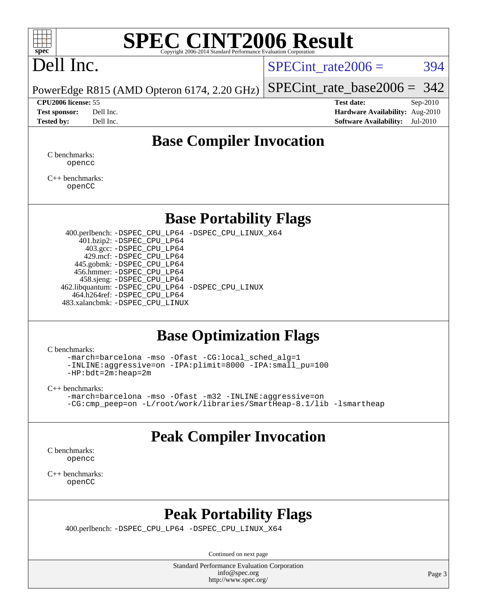

# **[SPEC CINT2006 Result](http://www.spec.org/auto/cpu2006/Docs/result-fields.html#SPECCINT2006Result)**

# Dell Inc.

SPECint rate $2006 = 394$ 

[SPECint\\_rate\\_base2006 =](http://www.spec.org/auto/cpu2006/Docs/result-fields.html#SPECintratebase2006) 342

PowerEdge R815 (AMD Opteron 6174, 2.20 GHz)

**[CPU2006 license:](http://www.spec.org/auto/cpu2006/Docs/result-fields.html#CPU2006license)** 55 **[Test date:](http://www.spec.org/auto/cpu2006/Docs/result-fields.html#Testdate)** Sep-2010 **[Test sponsor:](http://www.spec.org/auto/cpu2006/Docs/result-fields.html#Testsponsor)** Dell Inc. **[Hardware Availability:](http://www.spec.org/auto/cpu2006/Docs/result-fields.html#HardwareAvailability)** Aug-2010 **[Tested by:](http://www.spec.org/auto/cpu2006/Docs/result-fields.html#Testedby)** Dell Inc. **[Software Availability:](http://www.spec.org/auto/cpu2006/Docs/result-fields.html#SoftwareAvailability)** Jul-2010

### **[Base Compiler Invocation](http://www.spec.org/auto/cpu2006/Docs/result-fields.html#BaseCompilerInvocation)**

[C benchmarks](http://www.spec.org/auto/cpu2006/Docs/result-fields.html#Cbenchmarks): [opencc](http://www.spec.org/cpu2006/results/res2010q3/cpu2006-20100914-13281.flags.html#user_CCbase_Fopencc)

[C++ benchmarks:](http://www.spec.org/auto/cpu2006/Docs/result-fields.html#CXXbenchmarks) [openCC](http://www.spec.org/cpu2006/results/res2010q3/cpu2006-20100914-13281.flags.html#user_CXXbase_FopenCC)

### **[Base Portability Flags](http://www.spec.org/auto/cpu2006/Docs/result-fields.html#BasePortabilityFlags)**

 400.perlbench: [-DSPEC\\_CPU\\_LP64](http://www.spec.org/cpu2006/results/res2010q3/cpu2006-20100914-13281.flags.html#b400.perlbench_basePORTABILITY_DSPEC_CPU_LP64) [-DSPEC\\_CPU\\_LINUX\\_X64](http://www.spec.org/cpu2006/results/res2010q3/cpu2006-20100914-13281.flags.html#b400.perlbench_baseCPORTABILITY_DSPEC_CPU_LINUX_X64) 401.bzip2: [-DSPEC\\_CPU\\_LP64](http://www.spec.org/cpu2006/results/res2010q3/cpu2006-20100914-13281.flags.html#suite_basePORTABILITY401_bzip2_DSPEC_CPU_LP64) 403.gcc: [-DSPEC\\_CPU\\_LP64](http://www.spec.org/cpu2006/results/res2010q3/cpu2006-20100914-13281.flags.html#suite_basePORTABILITY403_gcc_DSPEC_CPU_LP64) 429.mcf: [-DSPEC\\_CPU\\_LP64](http://www.spec.org/cpu2006/results/res2010q3/cpu2006-20100914-13281.flags.html#suite_basePORTABILITY429_mcf_DSPEC_CPU_LP64) 445.gobmk: [-DSPEC\\_CPU\\_LP64](http://www.spec.org/cpu2006/results/res2010q3/cpu2006-20100914-13281.flags.html#suite_basePORTABILITY445_gobmk_DSPEC_CPU_LP64) 456.hmmer: [-DSPEC\\_CPU\\_LP64](http://www.spec.org/cpu2006/results/res2010q3/cpu2006-20100914-13281.flags.html#suite_basePORTABILITY456_hmmer_DSPEC_CPU_LP64) 458.sjeng: [-DSPEC\\_CPU\\_LP64](http://www.spec.org/cpu2006/results/res2010q3/cpu2006-20100914-13281.flags.html#suite_basePORTABILITY458_sjeng_DSPEC_CPU_LP64) 462.libquantum: [-DSPEC\\_CPU\\_LP64](http://www.spec.org/cpu2006/results/res2010q3/cpu2006-20100914-13281.flags.html#suite_basePORTABILITY462_libquantum_DSPEC_CPU_LP64) [-DSPEC\\_CPU\\_LINUX](http://www.spec.org/cpu2006/results/res2010q3/cpu2006-20100914-13281.flags.html#b462.libquantum_baseCPORTABILITY_DSPEC_CPU_LINUX) 464.h264ref: [-DSPEC\\_CPU\\_LP64](http://www.spec.org/cpu2006/results/res2010q3/cpu2006-20100914-13281.flags.html#suite_basePORTABILITY464_h264ref_DSPEC_CPU_LP64) 483.xalancbmk: [-DSPEC\\_CPU\\_LINUX](http://www.spec.org/cpu2006/results/res2010q3/cpu2006-20100914-13281.flags.html#b483.xalancbmk_baseCXXPORTABILITY_DSPEC_CPU_LINUX)

### **[Base Optimization Flags](http://www.spec.org/auto/cpu2006/Docs/result-fields.html#BaseOptimizationFlags)**

[C benchmarks](http://www.spec.org/auto/cpu2006/Docs/result-fields.html#Cbenchmarks):

[-march=barcelona](http://www.spec.org/cpu2006/results/res2010q3/cpu2006-20100914-13281.flags.html#user_CCbase_F-march_8ea39521cada96f307a04d0b8b9c6ffb) [-mso](http://www.spec.org/cpu2006/results/res2010q3/cpu2006-20100914-13281.flags.html#user_CCbase_F-mso) [-Ofast](http://www.spec.org/cpu2006/results/res2010q3/cpu2006-20100914-13281.flags.html#user_CCbase_F-Ofast) [-CG:local\\_sched\\_alg=1](http://www.spec.org/cpu2006/results/res2010q3/cpu2006-20100914-13281.flags.html#user_CCbase_F-CG:local_sched_alg_2175ca61f1a2717f1ec57b14995b9e7a) [-INLINE:aggressive=on](http://www.spec.org/cpu2006/results/res2010q3/cpu2006-20100914-13281.flags.html#user_CCbase_F-INLINE:aggressive_e14807c0a1e56a6a83cb25ab07c7ae8a) [-IPA:plimit=8000](http://www.spec.org/cpu2006/results/res2010q3/cpu2006-20100914-13281.flags.html#user_CCbase_F-IPA:plimit_92cba83f3d47f09c7d5368fda93ddbd7) [-IPA:small\\_pu=100](http://www.spec.org/cpu2006/results/res2010q3/cpu2006-20100914-13281.flags.html#user_CCbase_F-IPA:small_pu_900a09767c6929d55c26ea3d32399996) [-HP:bdt=2m:heap=2m](http://www.spec.org/cpu2006/results/res2010q3/cpu2006-20100914-13281.flags.html#user_CCbase_F-HUGEPAGE_855e97383b49831f390a2af16fe7202f)

[C++ benchmarks:](http://www.spec.org/auto/cpu2006/Docs/result-fields.html#CXXbenchmarks)

[-march=barcelona](http://www.spec.org/cpu2006/results/res2010q3/cpu2006-20100914-13281.flags.html#user_CXXbase_F-march_8ea39521cada96f307a04d0b8b9c6ffb) [-mso](http://www.spec.org/cpu2006/results/res2010q3/cpu2006-20100914-13281.flags.html#user_CXXbase_F-mso) [-Ofast](http://www.spec.org/cpu2006/results/res2010q3/cpu2006-20100914-13281.flags.html#user_CXXbase_F-Ofast) [-m32](http://www.spec.org/cpu2006/results/res2010q3/cpu2006-20100914-13281.flags.html#user_CXXbase_F-m32) [-INLINE:aggressive=on](http://www.spec.org/cpu2006/results/res2010q3/cpu2006-20100914-13281.flags.html#user_CXXbase_F-INLINE:aggressive_e14807c0a1e56a6a83cb25ab07c7ae8a) [-CG:cmp\\_peep=on](http://www.spec.org/cpu2006/results/res2010q3/cpu2006-20100914-13281.flags.html#user_CXXbase_F-CG:cmp_peep_ab90c979e95bee1f1f617a32622424ed) [-L/root/work/libraries/SmartHeap-8.1/lib -lsmartheap](http://www.spec.org/cpu2006/results/res2010q3/cpu2006-20100914-13281.flags.html#user_CXXbase_F-L_lib_directory_lsmartheap_9ab549d8336b8b0ffe7b94e3ae706265)

## **[Peak Compiler Invocation](http://www.spec.org/auto/cpu2006/Docs/result-fields.html#PeakCompilerInvocation)**

[C benchmarks](http://www.spec.org/auto/cpu2006/Docs/result-fields.html#Cbenchmarks): [opencc](http://www.spec.org/cpu2006/results/res2010q3/cpu2006-20100914-13281.flags.html#user_CCpeak_Fopencc)

[C++ benchmarks:](http://www.spec.org/auto/cpu2006/Docs/result-fields.html#CXXbenchmarks) [openCC](http://www.spec.org/cpu2006/results/res2010q3/cpu2006-20100914-13281.flags.html#user_CXXpeak_FopenCC)

### **[Peak Portability Flags](http://www.spec.org/auto/cpu2006/Docs/result-fields.html#PeakPortabilityFlags)**

400.perlbench: [-DSPEC\\_CPU\\_LP64](http://www.spec.org/cpu2006/results/res2010q3/cpu2006-20100914-13281.flags.html#b400.perlbench_peakPORTABILITY_DSPEC_CPU_LP64) [-DSPEC\\_CPU\\_LINUX\\_X64](http://www.spec.org/cpu2006/results/res2010q3/cpu2006-20100914-13281.flags.html#b400.perlbench_peakCPORTABILITY_DSPEC_CPU_LINUX_X64)

Continued on next page

Standard Performance Evaluation Corporation [info@spec.org](mailto:info@spec.org) <http://www.spec.org/>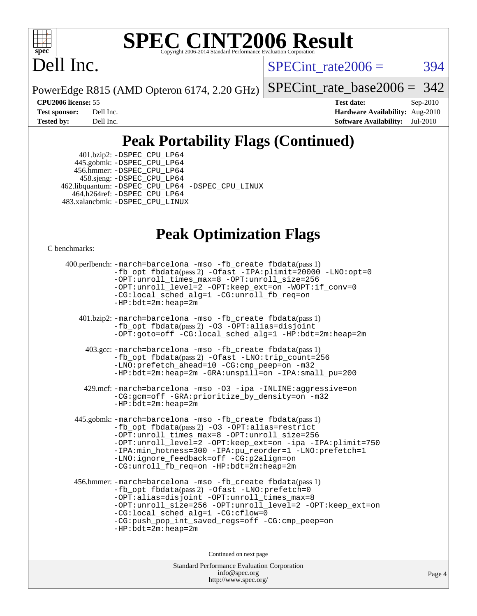

# **[SPEC CINT2006 Result](http://www.spec.org/auto/cpu2006/Docs/result-fields.html#SPECCINT2006Result)**

# Dell Inc.

 $SPECTnt_rate2006 = 394$ 

PowerEdge R815 (AMD Opteron 6174, 2.20 GHz)

[SPECint\\_rate\\_base2006 =](http://www.spec.org/auto/cpu2006/Docs/result-fields.html#SPECintratebase2006) 342

**[CPU2006 license:](http://www.spec.org/auto/cpu2006/Docs/result-fields.html#CPU2006license)** 55 **[Test date:](http://www.spec.org/auto/cpu2006/Docs/result-fields.html#Testdate)** Sep-2010 **[Test sponsor:](http://www.spec.org/auto/cpu2006/Docs/result-fields.html#Testsponsor)** Dell Inc. **[Hardware Availability:](http://www.spec.org/auto/cpu2006/Docs/result-fields.html#HardwareAvailability)** Aug-2010 **[Tested by:](http://www.spec.org/auto/cpu2006/Docs/result-fields.html#Testedby)** Dell Inc. **[Software Availability:](http://www.spec.org/auto/cpu2006/Docs/result-fields.html#SoftwareAvailability)** Jul-2010

## **[Peak Portability Flags \(Continued\)](http://www.spec.org/auto/cpu2006/Docs/result-fields.html#PeakPortabilityFlags)**

 401.bzip2: [-DSPEC\\_CPU\\_LP64](http://www.spec.org/cpu2006/results/res2010q3/cpu2006-20100914-13281.flags.html#suite_peakPORTABILITY401_bzip2_DSPEC_CPU_LP64) 445.gobmk: [-DSPEC\\_CPU\\_LP64](http://www.spec.org/cpu2006/results/res2010q3/cpu2006-20100914-13281.flags.html#suite_peakPORTABILITY445_gobmk_DSPEC_CPU_LP64) 456.hmmer: [-DSPEC\\_CPU\\_LP64](http://www.spec.org/cpu2006/results/res2010q3/cpu2006-20100914-13281.flags.html#suite_peakPORTABILITY456_hmmer_DSPEC_CPU_LP64) 458.sjeng: [-DSPEC\\_CPU\\_LP64](http://www.spec.org/cpu2006/results/res2010q3/cpu2006-20100914-13281.flags.html#suite_peakPORTABILITY458_sjeng_DSPEC_CPU_LP64) 462.libquantum: [-DSPEC\\_CPU\\_LP64](http://www.spec.org/cpu2006/results/res2010q3/cpu2006-20100914-13281.flags.html#suite_peakPORTABILITY462_libquantum_DSPEC_CPU_LP64) [-DSPEC\\_CPU\\_LINUX](http://www.spec.org/cpu2006/results/res2010q3/cpu2006-20100914-13281.flags.html#b462.libquantum_peakCPORTABILITY_DSPEC_CPU_LINUX) 464.h264ref: [-DSPEC\\_CPU\\_LP64](http://www.spec.org/cpu2006/results/res2010q3/cpu2006-20100914-13281.flags.html#suite_peakPORTABILITY464_h264ref_DSPEC_CPU_LP64) 483.xalancbmk: [-DSPEC\\_CPU\\_LINUX](http://www.spec.org/cpu2006/results/res2010q3/cpu2006-20100914-13281.flags.html#b483.xalancbmk_peakCXXPORTABILITY_DSPEC_CPU_LINUX)

### **[Peak Optimization Flags](http://www.spec.org/auto/cpu2006/Docs/result-fields.html#PeakOptimizationFlags)**

[C benchmarks](http://www.spec.org/auto/cpu2006/Docs/result-fields.html#Cbenchmarks):

```
 400.perlbench: -march=barcelona -mso -fb_create fbdata(pass 1)
         -fb_opt fbdata(pass 2) -Ofast -IPA:plimit=20000 -LNO:opt=0
         -OPT:unroll_times_max=8 -OPT:unroll_size=256
         -OPT:unroll_level=2 -OPT:keep_ext=on -WOPT:if_conv=0
         -CG:local_sched_alg=1 -CG:unroll_fb_req=on
         -HP:bdt=2m:heap=2m
  401.bzip2: -march=barcelona -mso -fb_create fbdata(pass 1)
         -fb_opt fbdata(pass 2) -O3 -OPT:alias=disjoint
         -OPT:goto=off -CG:local_sched_alg=1 -HP:bdt=2m:heap=2m
   403.gcc: -march=barcelona -mso -fb_create fbdata(pass 1)
         -fb_opt fbdata(pass 2) -Ofast -LNO:trip_count=256
         -LNO:prefetch_ahead=10 -CG:cmp_peep=on -m32
         -HP:bdt=2m:heap=2m -GRA:unspill=on -IPA:small_pu=200
   429.mcf: -march=barcelona -mso -O3 -ipa -INLINE:aggressive=on
         -CG:gcm=off -GRA:prioritize_by_density=on -m32
        -HP:bdt=2m:heap=2m
445.gobmk: -march=barcelona -mso -fb_create fbdata(pass 1)
         -fb_opt fbdata(pass 2) -O3 -OPT:alias=restrict
         -OPT:unroll_times_max=8 -OPT:unroll_size=256
         -OPT:unroll_level=2 -OPT:keep_ext=on -ipa -IPA:plimit=750
         -IPA:min_hotness=300-IPA:pu_reorder=1-LNO:prefetch=1
         -LNO:ignore_feedback=off -CG:p2align=on
         -CG:unroll_fb_req=on -HP:bdt=2m:heap=2m
456.hmmer: -march=barcelona -mso -fb_create fbdata(pass 1)
         -fb_opt fbdata(pass 2) -Ofast -LNO:prefetch=0
         -OPT:alias=disjoint -OPT:unroll_times_max=8
         -OPT:unroll_size=256 -OPT:unroll_level=2 -OPT:keep_ext=on
         -CG:local_sched_alg=1 -CG:cflow=0
         -CG:push_pop_int_saved_regs=off -CG:cmp_peep=on
         -HP:bdt=2m:heap=2m
                              Continued on next page
```